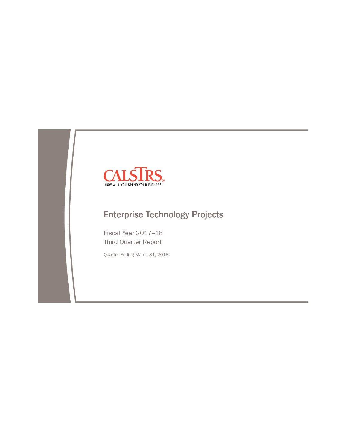

# **Enterprise Technology Projects**

Fiscal Year 2017-18 Third Quarter Report

Quarter Ending March 31, 2018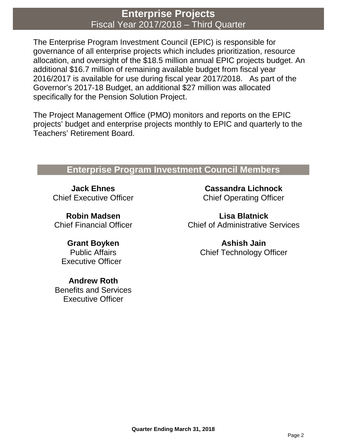## **Enterprise Projects** Fiscal Year 2017/2018 – Third Quarter

The Enterprise Program Investment Council (EPIC) is responsible for governance of all enterprise projects which includes prioritization, resource allocation, and oversight of the \$18.5 million annual EPIC projects budget. An additional \$16.7 million of remaining available budget from fiscal year 2016/2017 is available for use during fiscal year 2017/2018. As part of the Governor's 2017-18 Budget, an additional \$27 million was allocated specifically for the Pension Solution Project.

The Project Management Office (PMO) monitors and reports on the EPIC projects' budget and enterprise projects monthly to EPIC and quarterly to the Teachers' Retirement Board.

## **Enterprise Program Investment Council Members**

**Jack Ehnes** Chief Executive Officer

**Robin Madsen** Chief Financial Officer

**Grant Boyken** Public Affairs Executive Officer

**Andrew Roth** Benefits and Services Executive Officer

**Cassandra Lichnock** Chief Operating Officer

**Lisa Blatnick** Chief of Administrative Services

> **Ashish Jain** Chief Technology Officer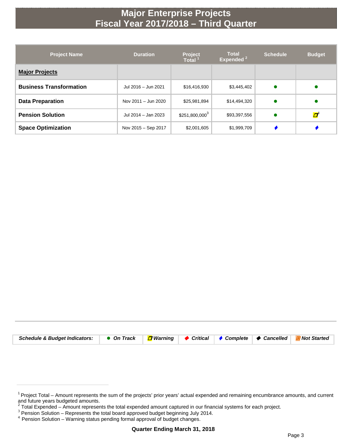# **Major Enterprise Projects Fiscal Year 2017/2018 – Third Quarter**

| <b>Project Name</b>            | <b>Duration</b>     | <b>Project</b><br><b>Total</b> | <b>Total</b><br>Expended <sup>2</sup> | <b>Schedule</b> | <b>Budget</b> |
|--------------------------------|---------------------|--------------------------------|---------------------------------------|-----------------|---------------|
| <b>Major Projects</b>          |                     |                                |                                       |                 |               |
| <b>Business Transformation</b> | Jul 2016 - Jun 2021 | \$16,416,930                   | \$3,445,402                           |                 |               |
| <b>Data Preparation</b>        | Nov 2011 - Jun 2020 | \$25,981,894                   | \$14,494,320                          |                 |               |
| <b>Pension Solution</b>        | Jul 2014 - Jan 2023 | $$251,800,000^3$               | \$93,397,556                          |                 | Ø             |
| <b>Space Optimization</b>      | Nov 2015 - Sep 2017 | \$2,001,605                    | \$1,999,709                           |                 |               |

| Schedule & Budget Indicators: $\bullet$ On Track $\Box$ Warning $\bullet$ Critical $\bullet$ Complete $\bullet$ Cancelled $\Box$ Not Started |  |  |  |
|----------------------------------------------------------------------------------------------------------------------------------------------|--|--|--|

<sup>&</sup>lt;sup>1</sup> Project Total – Amount represents the sum of the projects' prior years' actual expended and remaining encumbrance amounts, and current and future years budgeted amounts.

Pension Solution – Represents the total board approved budget beginning July 2014.<br>
<sup>4</sup> Pension Solution – Warning status pending formal approval of budget changes.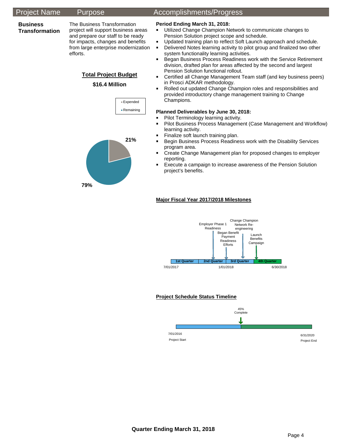### Project Name Purpose Accomplishments/Progress

### **Business Transformation**

The Business Transformation project will support business areas and prepare our staff to be ready for impacts, changes and benefits from large enterprise modernization efforts.

## **Total Project Budget**

### **\$16.4 Million**



### **Period Ending March 31, 2018:**

- **Utilized Change Champion Network to communicate changes to** Pension Solution project scope and schedule.
- Updated training plan to reflect Soft Launch approach and schedule.
- **•** Delivered Notes learning activity to pilot group and finalized two other system functionality learning activities.
- **Began Business Process Readiness work with the Service Retirement** division, drafted plan for areas affected by the second and largest Pension Solution functional rollout.
- **Certified all Change Management Team staff (and key business peers)** in Prosci ADKAR methodology.
- Rolled out updated Change Champion roles and responsibilities and provided introductory change management training to Change Champions.

### **Planned Deliverables by June 30, 2018:**

- **Pilot Terminology learning activity.**<br>Pilot Business Process Manageme
- Pilot Business Process Management (Case Management and Workflow) learning activity.
- **Finalize soft launch training plan.**
- **Begin Business Process Readiness work with the Disability Services** program area.
- **EXP** Create Change Management plan for proposed changes to employer reporting.
- **Execute a campaign to increase awareness of the Pension Solution** project's benefits.

### **Major Fiscal Year 2017/2018 Milestones**



### **Project Schedule Status Timeline**

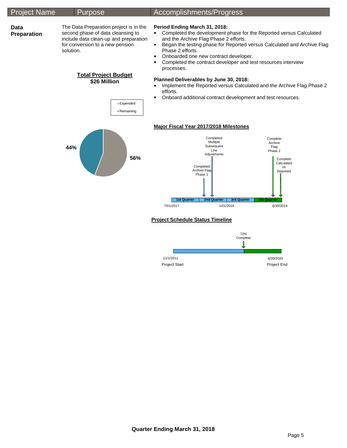| <b>Project Name</b> | <b>Purpose</b>                                                                                                                                                                                                                                                                                                                                                                                                      | Accomplishments/Progress                                                                                                                                                                                                                                                                                                                                                                                                                                                                                                                                                                      |  |  |  |  |
|---------------------|---------------------------------------------------------------------------------------------------------------------------------------------------------------------------------------------------------------------------------------------------------------------------------------------------------------------------------------------------------------------------------------------------------------------|-----------------------------------------------------------------------------------------------------------------------------------------------------------------------------------------------------------------------------------------------------------------------------------------------------------------------------------------------------------------------------------------------------------------------------------------------------------------------------------------------------------------------------------------------------------------------------------------------|--|--|--|--|
| Data<br>Preparation | The Data Preparation project is in the<br>second phase of data cleansing to<br>include data clean-up and preparation<br>for conversion to a new pension<br>solution.<br><b>Total Project Budget</b><br>\$26 Million<br>■ Expended<br>- Remaining                                                                                                                                                                    | Period Ending March 31, 2018:<br>Completed the development phase for the Reported versus Calculated<br>and the Archive Flag Phase 2 efforts.<br>Began the testing phase for Reported versus Calculated and Archive Flag<br>٠<br>Phase 2 efforts.<br>Onboarded one new contract developer.<br>Completed the contract developer and test resources interview<br>processes.<br>Planned Deliverables by June 30, 2018:<br>Implement the Reported versus Calculated and the Archive Flag Phase 2<br>$\blacksquare$<br>efforts.<br>Onboard additional contract development and test resources.<br>٠ |  |  |  |  |
| 44%<br>56%          | <b>Major Fiscal Year 2017/2018 Milestones</b><br>Completed<br>Complete<br>Multiple<br>Archive<br>Subsequent<br>Flag<br>Line<br>Phase 2<br>Adjustments<br>Complete<br>Calculated<br>Completed<br>vs<br>Archive Flag<br>Reported<br>Phase 1<br><b>1st Quarter</b><br><b>2nd Quarter</b><br><b>3rd Quarter</b><br><b>4th Quarter</b><br>7/01/2017<br>1/01/2018<br>6/30/2018<br><b>Project Schedule Status Timeline</b> |                                                                                                                                                                                                                                                                                                                                                                                                                                                                                                                                                                                               |  |  |  |  |

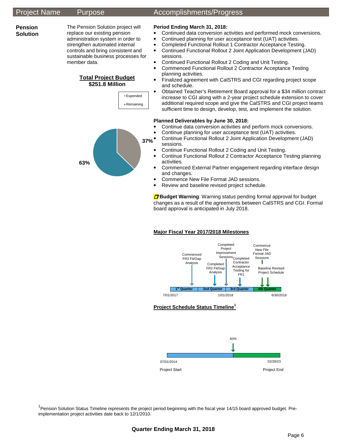**Pension Solution** 

**63%**

The Pension Solution project will replace our existing pension administration system in order to strengthen automated internal controls and bring consistent and sustainable business processes for member data.

### **Total Project Budget \$251.8 Million**



## Project Name Purpose Accomplishments/Progress

### **Period Ending March 31, 2018:**

- **Continued data conversion activities and performed mock conversions.** 
	- Continued planning for user acceptance test (UAT) activities.
	- **Completed Functional Rollout 1 Contractor Acceptance Testing.**
	- Continued Functional Rollout 2 Joint Application Development (JAD) sessions.
	- **Continued Functional Rollout 2 Coding and Unit Testing.**
- Commenced Functional Rollout 2 Contractor Acceptance Testing planning activities.
- Finalized agreement with CalSTRS and CGI regarding project scope and schedule.
- Obtained Teacher's Retirement Board approval for a \$34 million contract increase to CGI along with a 2-year project schedule extension to cover additional required scope and give the CalSTRS and CGI project teams sufficient time to design, develop, test, and implement the solution.

### **Planned Deliverables by June 30, 2018:**

- **Continue data conversion activities and perform mock conversions.**
- Continue planning for user acceptance test (UAT) activities.
- Continue Functional Rollout 2 Joint Application Development (JAD) sessions. **37%**
	- Continue Functional Rollout 2 Coding and Unit Testing.
	- Continue Functional Rollout 2 Contractor Acceptance Testing planning activities.
	- Commenced External Partner engagement regarding interface design and changes.
	- Commence New File Format JAD sessions.
	- Review and baseline revised project schedule.

**D** Budget Warning: Warning status pending formal approval for budget changes as a result of the agreements between CalSTRS and CGI. Formal board approval is anticipated in July 2018.

### **Major Fiscal Year 2017/2018 Milestones**



### **Project Schedule Status Timeline<sup>1</sup>**



<sup>1</sup> Pension Solution Status Timeline represents the project period beginning with the fiscal year 14/15 board approved budget. Preimplementation project activities date back to 12/1/2010.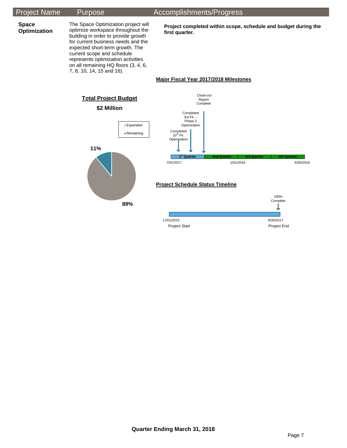## Project Name Purpose Accomplishments/Progress

**Space Optimization** 

optimize workspace throughout the building in order to provide growth for current business needs and the expected short-term growth. The current scope and schedule represents optimization activities on all remaining HQ floors (3, 4, 6, 7, 8, 10, 14, 15 and 16).

The Space Optimization project will

**Project completed within scope, schedule and budget during the first quarter.**

### **Major Fiscal Year 2017/2018 Milestones**

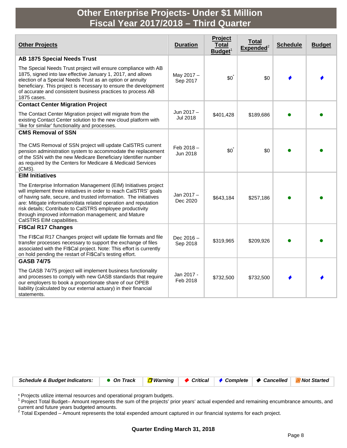# **Other Enterprise Projects- Under \$1 Million Fiscal Year 2017/2018 – Third Quarter**

| <b>Other Projects</b>                                                                                                                                                                                                                                                                                                                                                                                                        | <b>Duration</b>          | Project<br>Total<br>$B$ udget $1$ | <b>Total</b><br>${\sf Expected}^2$ | <b>Schedule</b> | <b>Budget</b> |
|------------------------------------------------------------------------------------------------------------------------------------------------------------------------------------------------------------------------------------------------------------------------------------------------------------------------------------------------------------------------------------------------------------------------------|--------------------------|-----------------------------------|------------------------------------|-----------------|---------------|
| <b>AB 1875 Special Needs Trust</b>                                                                                                                                                                                                                                                                                                                                                                                           |                          |                                   |                                    |                 |               |
| The Special Needs Trust project will ensure compliance with AB<br>1875, signed into law effective January 1, 2017, and allows<br>election of a Special Needs Trust as an option or annuity<br>beneficiary. This project is necessary to ensure the development<br>of accurate and consistent business practices to process AB<br>1875 cases.                                                                                 | May 2017 -<br>Sep 2017   | $$0^{\degree}$                    | \$0                                |                 |               |
| <b>Contact Center Migration Project</b>                                                                                                                                                                                                                                                                                                                                                                                      |                          |                                   |                                    |                 |               |
| The Contact Center Migration project will migrate from the<br>existing Contact Center solution to the new cloud platform with<br>'like for similar' functionality and processes.                                                                                                                                                                                                                                             | Jun 2017-<br>Jul 2018    | \$401,428                         | \$189,686                          |                 |               |
| <b>CMS Removal of SSN</b>                                                                                                                                                                                                                                                                                                                                                                                                    |                          |                                   |                                    |                 |               |
| The CMS Removal of SSN project will update CalSTRS current<br>pension administration system to accommodate the replacement<br>of the SSN with the new Medicare Beneficiary Identifier number<br>as required by the Centers for Medicare & Medicaid Services<br>(CMS).                                                                                                                                                        | Feb 2018-<br>Jun 2018    | $$0^{\degree}$                    | \$0                                |                 |               |
| <b>EIM Initiatives</b>                                                                                                                                                                                                                                                                                                                                                                                                       |                          |                                   |                                    |                 |               |
| The Enterprise Information Management (EIM) Initiatives project<br>will implement three initiatives in order to reach CalSTRS' goals<br>of having safe, secure, and trusted information. The initiatives<br>are: Mitigate information/data related operation and reputation<br>risk details; Contribute to CalSTRS employee productivity<br>through improved information management; and Mature<br>CalSTRS EIM capabilities. | Jan 2017 -<br>Dec 2020   | \$643,184                         | \$257,186                          |                 |               |
| <b>FI\$Cal R17 Changes</b>                                                                                                                                                                                                                                                                                                                                                                                                   |                          |                                   |                                    |                 |               |
| The FI\$Cal R17 Changes project will update file formats and file<br>transfer processes necessary to support the exchange of files<br>associated with the FI\$Cal project. Note: This effort is currently<br>on hold pending the restart of FI\$Cal's testing effort.                                                                                                                                                        | Dec $2016 -$<br>Sep 2018 | \$319,965                         | \$209,926                          |                 |               |
| <b>GASB 74/75</b>                                                                                                                                                                                                                                                                                                                                                                                                            |                          |                                   |                                    |                 |               |
| The GASB 74/75 project will implement business functionality<br>and processes to comply with new GASB standards that require<br>our employers to book a proportionate share of our OPEB<br>liability (calculated by our external actuary) in their financial<br>statements.                                                                                                                                                  | Jan 2017 -<br>Feb 2018   | \$732,500                         | \$732,500                          |                 |               |



\* Projects utilize internal resources and operational program budgets.<br><sup>1</sup> Project Total Budget– Amount represents the sum of the projects' prior years' actual expended and remaining encumbrance amounts, and current and future years budgeted amounts.<br>
<sup>2</sup> Total Expended – Amount represents the total expended amount captured in our financial systems for each project.